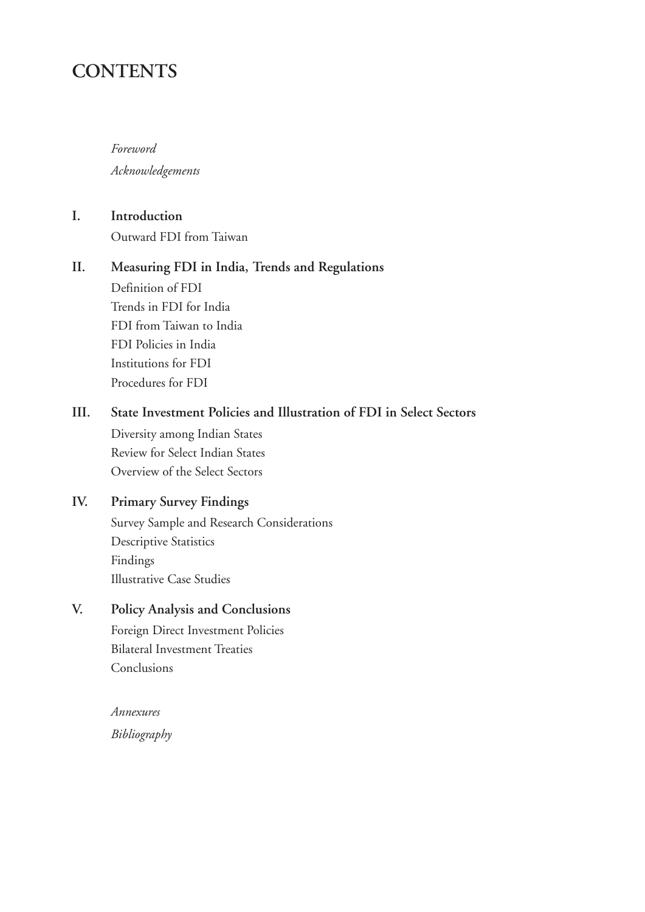# **CONTENTS**

*Foreword Acknowledgements*

**I. Introduction** Outward FDI from Taiwan

## **II. Measuring FDI in India, Trends and Regulations**

Definition of FDI Trends in FDI for India FDI from Taiwan to India FDI Policies in India Institutions for FDI Procedures for FDI

# **III. State Investment Policies and Illustration of FDI in Select Sectors**

Diversity among Indian States Review for Select Indian States Overview of the Select Sectors

# **IV. Primary Survey Findings**

Survey Sample and Research Considerations Descriptive Statistics Findings Illustrative Case Studies

### **V. Policy Analysis and Conclusions**

Foreign Direct Investment Policies Bilateral Investment Treaties Conclusions

*Annexures Bibliography*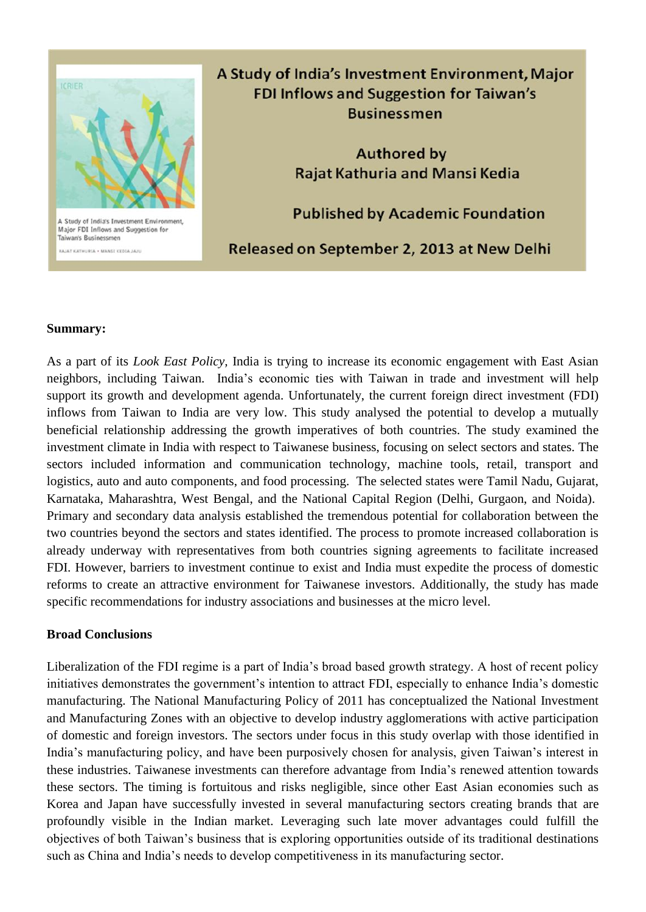

A Study of India's Investment Environment, Major **FDI Inflows and Suggestion for Taiwan's Businessmen** 

> **Authored by Rajat Kathuria and Mansi Kedia**

**Published by Academic Foundation** 

Released on September 2, 2013 at New Delhi

#### **Summary:**

ALAT KATHURIA . MANSI KEDIA JAJU

As a part of its *Look East Policy,* India is trying to increase its economic engagement with East Asian neighbors, including Taiwan. India's economic ties with Taiwan in trade and investment will help support its growth and development agenda. Unfortunately, the current foreign direct investment (FDI) inflows from Taiwan to India are very low. This study analysed the potential to develop a mutually beneficial relationship addressing the growth imperatives of both countries. The study examined the investment climate in India with respect to Taiwanese business, focusing on select sectors and states. The sectors included information and communication technology, machine tools, retail, transport and logistics, auto and auto components, and food processing. The selected states were Tamil Nadu, Gujarat, Karnataka, Maharashtra, West Bengal, and the National Capital Region (Delhi, Gurgaon, and Noida). Primary and secondary data analysis established the tremendous potential for collaboration between the two countries beyond the sectors and states identified. The process to promote increased collaboration is already underway with representatives from both countries signing agreements to facilitate increased FDI. However, barriers to investment continue to exist and India must expedite the process of domestic reforms to create an attractive environment for Taiwanese investors. Additionally, the study has made specific recommendations for industry associations and businesses at the micro level.

#### **Broad Conclusions**

Liberalization of the FDI regime is a part of India's broad based growth strategy. A host of recent policy initiatives demonstrates the government's intention to attract FDI, especially to enhance India's domestic manufacturing. The National Manufacturing Policy of 2011 has conceptualized the National Investment and Manufacturing Zones with an objective to develop industry agglomerations with active participation of domestic and foreign investors. The sectors under focus in this study overlap with those identified in India's manufacturing policy, and have been purposively chosen for analysis, given Taiwan's interest in these industries. Taiwanese investments can therefore advantage from India's renewed attention towards these sectors. The timing is fortuitous and risks negligible, since other East Asian economies such as Korea and Japan have successfully invested in several manufacturing sectors creating brands that are profoundly visible in the Indian market. Leveraging such late mover advantages could fulfill the objectives of both Taiwan's business that is exploring opportunities outside of its traditional destinations such as China and India's needs to develop competitiveness in its manufacturing sector.